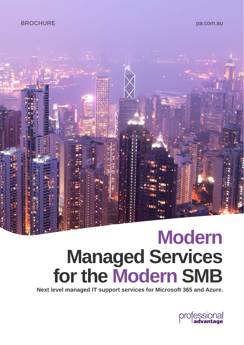### BROCHURE

pa.com.au



## **Modern Managed Services for the Modern SMB**

**Next level managed IT support services for Microsoft 365 and Azure.** 

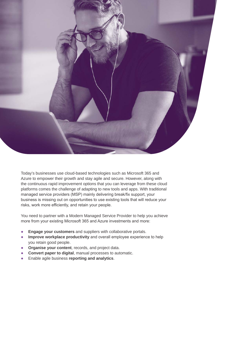

Today's businesses use cloud-based technologies such as Microsoft 365 and Azure to empower their growth and stay agile and secure. However, along with the continuous rapid improvement options that you can leverage from these cloud platforms comes the challenge of adapting to new tools and apps. With traditional managed service providers (MSP) mainly delivering break/fix support, your business is missing out on opportunities to use existing tools that will reduce your risks, work more efficiently, and retain your people.

You need to partner with a Modern Managed Service Provider to help you achieve more from your existing Microsoft 365 and Azure investments and more:

- **Engage your customers** and suppliers with collaborative portals.
- **● Improve workplace productivity** and overall employee experience to help you retain good people.
- **Organise your content**, records, and project data.
- **● Convert paper to digital**, manual processes to automatic.
- **●** Enable agile business **reporting and analytics**.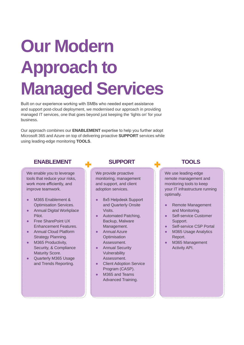# **Our Modern Approach to Managed Services**

Built on our experience working with SMBs who needed expert assistance and support post-cloud deployment, we modernised our approach in providing managed IT services, one that goes beyond just keeping the 'lights on' for your business.

Our approach combines our **ENABLEMENT** expertise to help you further adopt Microsoft 365 and Azure on top of delivering proactive **SUPPORT** services while using leading-edge monitoring **TOOLS**.

#### **ENABLEMENT**

#### We enable you to leverage

#### tools that reduce your risks, work more efficiently, and improve teamwork.

- M365 Enablement & Optimisation Services.
- Annual Digital Workplace Pilot.
- **Free SharePoint UX** Enhancement Features.
- **Annual Cloud Platform** Strategy Planning.
- M365 Productivity, Security, & Compliance Maturity Score.

Quarterly M365 Usage and Trends Reporting.

#### **SUPPORT**

We provide proactive monitoring, management and support, and client adoption services.

- 8x5 Helpdesk Support and Quarterly Onsite Visits.
- Automated Patching, Backup, Malware Management.
- Annual Azure **Optimisation** Assessment.
- **•** Annual Security **Vulnerability** Assessment.
- Client Adoption Service Program (CASP).
- M365 and Teams Advanced Training.

### **TOOLS**

. . . . . . . . . . . . . . . . .

We use leading-edge remote management and monitoring tools to keep your IT infrastructure running optimally.

- Remote Management and Monitoring.
- Self-service Customer Support.
- Self-service CSP Portal
- **M365 Usage Analytics** Report.
- M365 Management Activity API.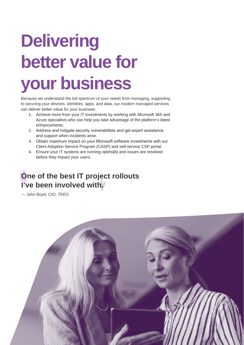# **Delivering better value for your business**

Because we understand the full spectrum of your needs from managing, supporting to securing your devices, identities, apps, and data, our modern managed services can deliver better value for your business:

- 1. Achieve more from your IT investments by working with Microsoft 365 and Azure specialists who can help you take advantage of the platform's latest enhancements.
- 2. Address and mitigate security vulnerabilities and get expert assistance and support when incidents arise.
- 3. Obtain maximum impact on your Microsoft software investments with our Client Adoption Service Program (CASP) and self-service CSP portal.
- 4. Ensure your IT systems are running optimally and issues are resolved before they impact your users.

### **One of the best IT project rollouts I've been involved with.**

*— John Boyd, CIO, TEEG*